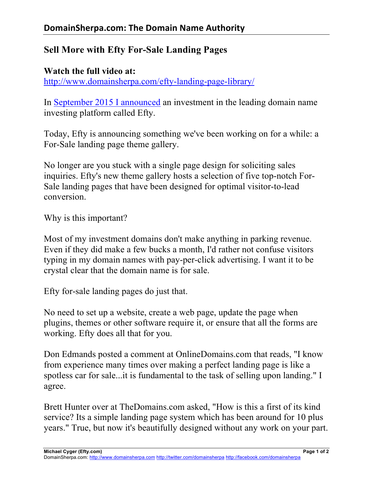## **Sell More with Efty For-Sale Landing Pages**

## **Watch the full video at:**

http://www.domainsherpa.com/efty-landing-page-library/

In September 2015 I announced an investment in the leading domain name investing platform called Efty.

Today, Efty is announcing something we've been working on for a while: a For-Sale landing page theme gallery.

No longer are you stuck with a single page design for soliciting sales inquiries. Efty's new theme gallery hosts a selection of five top-notch For-Sale landing pages that have been designed for optimal visitor-to-lead conversion.

Why is this important?

Most of my investment domains don't make anything in parking revenue. Even if they did make a few bucks a month, I'd rather not confuse visitors typing in my domain names with pay-per-click advertising. I want it to be crystal clear that the domain name is for sale.

Efty for-sale landing pages do just that.

No need to set up a website, create a web page, update the page when plugins, themes or other software require it, or ensure that all the forms are working. Efty does all that for you.

Don Edmands posted a comment at OnlineDomains.com that reads, "I know from experience many times over making a perfect landing page is like a spotless car for sale...it is fundamental to the task of selling upon landing." I agree.

Brett Hunter over at TheDomains.com asked, "How is this a first of its kind service? Its a simple landing page system which has been around for 10 plus years." True, but now it's beautifully designed without any work on your part.